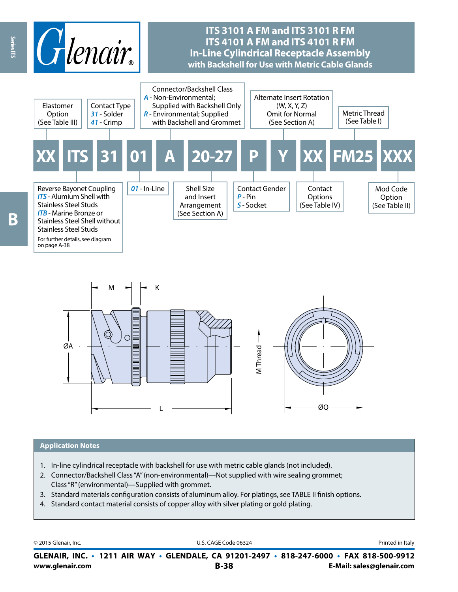



#### **Application Notes**

- 1. In-line cylindrical receptacle with backshell for use with metric cable glands (not included).
- 2. Connector/Backshell Class "A" (non-environmental)—Not supplied with wire sealing grommet; Class "R" (environmental)—Supplied with grommet.
- 3. Standard materials configuration consists of aluminum alloy. For platings, see TABLE II finish options.
- 4. Standard contact material consists of copper alloy with silver plating or gold plating.

© 2015 Glenair, Inc. **Discription Construction Construction Construction Construction Construction Construction Construction Construction Construction Construction Construction Construction Construction Construction Constr** 

**www.glenair.com B-38 E-Mail: sales@glenair.com GLENAIR, INC. • 1211 AIR WAY • GLENDALE, CA 91201-2497 • 818-247-6000 • FAX 818-500-9912**

B